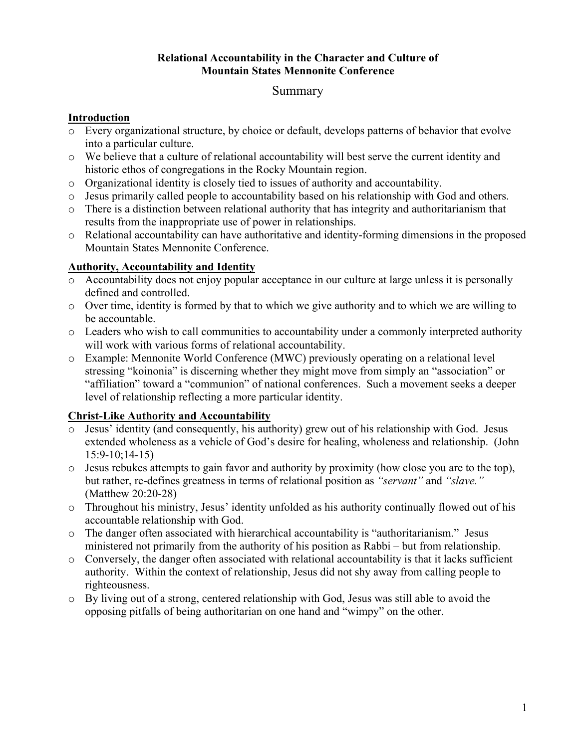#### **Relational Accountability in the Character and Culture of Mountain States Mennonite Conference**

# Summary

#### **Introduction**

- o Every organizational structure, by choice or default, develops patterns of behavior that evolve into a particular culture.
- o We believe that a culture of relational accountability will best serve the current identity and historic ethos of congregations in the Rocky Mountain region.
- o Organizational identity is closely tied to issues of authority and accountability.
- o Jesus primarily called people to accountability based on his relationship with God and others.
- o There is a distinction between relational authority that has integrity and authoritarianism that results from the inappropriate use of power in relationships.
- o Relational accountability can have authoritative and identity-forming dimensions in the proposed Mountain States Mennonite Conference.

## **Authority, Accountability and Identity**

- o Accountability does not enjoy popular acceptance in our culture at large unless it is personally defined and controlled.
- o Over time, identity is formed by that to which we give authority and to which we are willing to be accountable.
- o Leaders who wish to call communities to accountability under a commonly interpreted authority will work with various forms of relational accountability.
- o Example: Mennonite World Conference (MWC) previously operating on a relational level stressing "koinonia" is discerning whether they might move from simply an "association" or "affiliation" toward a "communion" of national conferences. Such a movement seeks a deeper level of relationship reflecting a more particular identity.

## **Christ-Like Authority and Accountability**

- o Jesus' identity (and consequently, his authority) grew out of his relationship with God. Jesus extended wholeness as a vehicle of God's desire for healing, wholeness and relationship. (John 15:9-10;14-15)
- o Jesus rebukes attempts to gain favor and authority by proximity (how close you are to the top), but rather, re-defines greatness in terms of relational position as *"servant"* and *"slave."* (Matthew 20:20-28)
- o Throughout his ministry, Jesus' identity unfolded as his authority continually flowed out of his accountable relationship with God.
- o The danger often associated with hierarchical accountability is "authoritarianism." Jesus ministered not primarily from the authority of his position as Rabbi – but from relationship.
- o Conversely, the danger often associated with relational accountability is that it lacks sufficient authority. Within the context of relationship, Jesus did not shy away from calling people to righteousness.
- $\circ$  By living out of a strong, centered relationship with God. Jesus was still able to avoid the opposing pitfalls of being authoritarian on one hand and "wimpy" on the other.